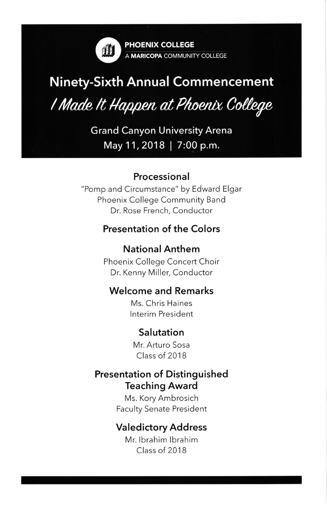

PHOENIX COLLEGE A MARICOPA COMMUNITY COLLEGE

# Ninety-Sixth Annual

# I Made It Happen at Phoenix College

Grand Canyon University Arena May 11, 2018 | 7:00 p.m.

#### Processional

"Pomp and Circumstance" by Edward Elgar Phoenix College Community Band Dr. Rose French, Conductor

#### Presentation of the Colors

#### NationalAnthem

Phoenix College Concert Choir Dr. Kenny Miller, Conductor

#### Welcome and Remarks

Ms. Chris Haines Interim President

#### Salutation

Mr. Arturo Sosa Class of 2018

#### **Presentation of Distinguished** Teaching Award

Ms. Kory Ambrosich **Faculty Senate President** 

#### Valedictory Address

Mr. lbrahim lbrahim Class of 2018